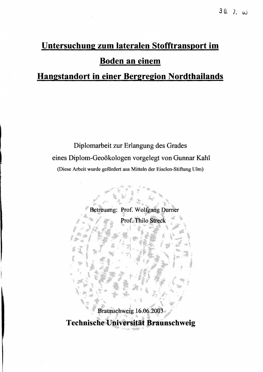## Untersuchung zum lateralen Stofftransport im **Boden an einem**

## **Hangstandort in einer Bergregion Nordthailands**

Diplomarbeit zur Erlangung des Grades eines Diplom-Geoökologen vorgelegt von Gunnar Kahl (Diese Arbeit wurde gefördert aus Mitteln der Eiselen-Stiftung Ulm)

Betreuung: Prof. Wolfgang Durner Prof. Thilo Streck Braunschweig 16.06.2003 Technische Universität Braunschweig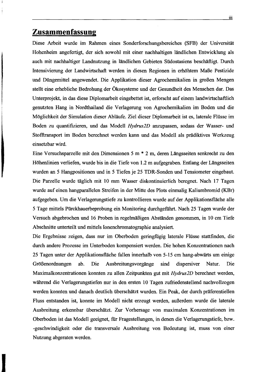## **Zusammenfassung**

Diese Arbeit wurde im Rahmen eines Sonderforschungsbereiches (SFB) der Universität Hohenheim angefertigt, der sich sowohl mit einer nachhaltigen ländlichen Entwicklung als auch mit nachhaltiger Landnutzung in ländlichen Gebieten Südostasiens beschäftigt. Durch Intensivierung der Landwirtschaft werden in diesen Regionen in erhöhtem Maße Pestizide und Düngemittel angewendet. Die Applikation dieser Agrochemikalien in großen Mengen stellt eine erhebliche Bedrohung der Ökosysteme und der Gesundheit des Menschen dar. Das Unterprojekt, in das diese Diplomarbeit eingebettet ist, erforscht auf einem landwirtschaftlich genutzten Hang in Nordthailand die Verlagerung von Agrochemikalien im Boden und die Möglichkeit der Simulation dieser Abläufe. Ziel dieser Diplomarbeit ist es, laterale Flüsse im Boden zu quantifizieren, und das Modell *Hydrus2D* anzupassen, sodass der Wasser- und Stoffiransport im Boden berechnet werden kann und das Modell als prädiktives Werkzeug einsetzbar wird.

Eine Versuchsparzelle mit den Dimensionen 5 m \* 2 m, deren Längsseiten senkrecht zu den Höhenlinien verliefen, wurde bis in die Tiefe von 1.2 m aufgegraben. Entlang der Längsseiten wurden an 5 Hangpositionen und in 5 Tiefen je 25 TDR-Sonden und Tensiometer eingebaut. Die Parzelle wurde täglich mit 10 mm Wasser diskontinuierlich beregnet. Nach 17 Tagen wurde auf einen hangparallelen Streifen in der Mitte des Plots einmalig Kaliumbromid (KBr) aufgegeben. Um die Verlagerungstiefe zu kontrollieren wurde auf der Applikationsfläche alle 5 Tage mittels PUrckhauerbeprobung ein Monitoring durchgeführt. Nach 25 Tagen wurde der Versuch abgebrochen und 16 Proben in regelmäßigen Abständen genommen, in 10 cm Tiefe Abschnitte unterteilt und mittels Ionenchromatographie analysiert.

Die Ergebnisse zeigen, dass nur im Oberboden geringfügig laterale Flüsse stattfinden, die durch andere Prozesse im Unterboden kompensiert werden. Die hohen Konzentrationen nach 25 Tagen unter der Applikationsfläche fallen innerhalb von 5-15 cm hang-abwärts um einige Größenordnungen ab. Die Ausbreitungsvorgänge sind dispersiver Natur. Die Maximalkonzentrationen konnten zu allen Zeitpunkten gut mit *Hydrus2D* berechnet werden, während die Verlagerungstiefen nur in den ersten 10 Tagen zufriedenstellend nachvollzogen werden konnten und danach deutlich überschätzt wurden. Ein Peak, der durch präferentiellen Fluss entstanden ist, konnte im Modell nicht erzeugt werden, außerdem wurde die laterale Ausbreitung erkennbar überschätzt. Zur Vorhersage von maximalen Konzentrationen im Oberboden ist das Modell geeignet, für Fragestellungen, in denen die Verlagerungstiefe, bzw. -geschwindigkeit oder die transversale Ausbreitung von Bedeutung ist, muss von einer Nutzung abgeraten werden.